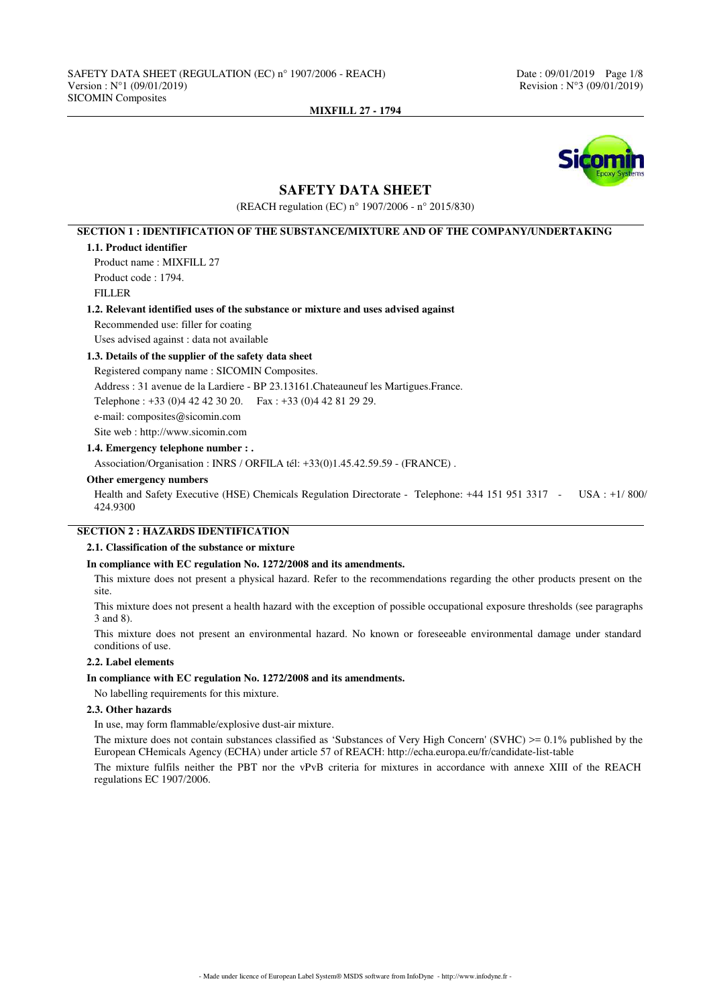

# **SAFETY DATA SHEET**

(REACH regulation (EC) n° 1907/2006 - n° 2015/830)

# **SECTION 1 : IDENTIFICATION OF THE SUBSTANCE/MIXTURE AND OF THE COMPANY/UNDERTAKING**

### **1.1. Product identifier**

Product name : MIXFILL 27 Product code : 1794. FILLER

### **1.2. Relevant identified uses of the substance or mixture and uses advised against**

Recommended use: filler for coating

Uses advised against : data not available

# **1.3. Details of the supplier of the safety data sheet**

Registered company name : SICOMIN Composites. Address : 31 avenue de la Lardiere - BP 23.13161.Chateauneuf les Martigues.France. Telephone : +33 (0)4 42 42 30 20. Fax : +33 (0)4 42 81 29 29. e-mail: composites@sicomin.com Site web : http://www.sicomin.com

**1.4. Emergency telephone number : .**

Association/Organisation : INRS / ORFILA tél: +33(0)1.45.42.59.59 - (FRANCE) .

### **Other emergency numbers**

Health and Safety Executive (HSE) Chemicals Regulation Directorate - Telephone: +44 151 951 3317 - USA : +1/ 800/ 424.9300

# **SECTION 2 : HAZARDS IDENTIFICATION**

### **2.1. Classification of the substance or mixture**

### **In compliance with EC regulation No. 1272/2008 and its amendments.**

This mixture does not present a physical hazard. Refer to the recommendations regarding the other products present on the site.

This mixture does not present a health hazard with the exception of possible occupational exposure thresholds (see paragraphs 3 and 8).

This mixture does not present an environmental hazard. No known or foreseeable environmental damage under standard conditions of use.

### **2.2. Label elements**

#### **In compliance with EC regulation No. 1272/2008 and its amendments.**

No labelling requirements for this mixture.

#### **2.3. Other hazards**

In use, may form flammable/explosive dust-air mixture.

The mixture does not contain substances classified as 'Substances of Very High Concern' (SVHC)  $> = 0.1\%$  published by the European CHemicals Agency (ECHA) under article 57 of REACH: http://echa.europa.eu/fr/candidate-list-table

The mixture fulfils neither the PBT nor the vPvB criteria for mixtures in accordance with annexe XIII of the REACH regulations EC 1907/2006.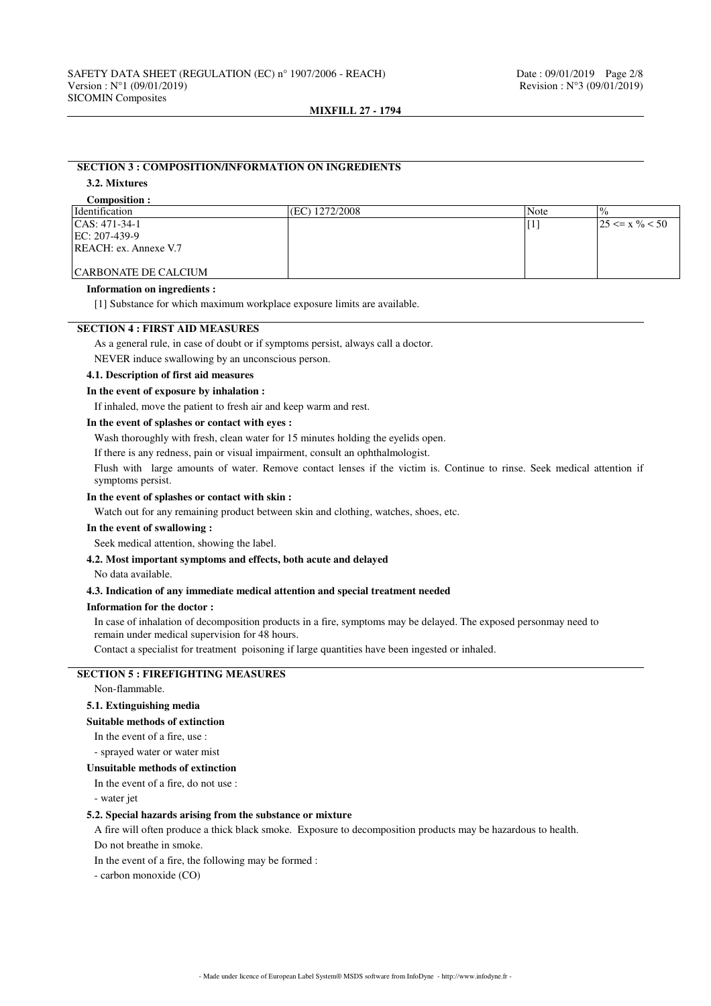# **SECTION 3 : COMPOSITION/INFORMATION ON INGREDIENTS 3.2. Mixtures**

# **Composition :**

| <i>dentification</i>        | (EC) 1272/2008 | Note | $^{10}$                        |
|-----------------------------|----------------|------|--------------------------------|
| $ CAS: 471-34-1$            |                |      | $125 \le x \frac{9}{6} \le 50$ |
| $EC: 207-439-9$             |                |      |                                |
| REACH: ex. Annexe V.7       |                |      |                                |
|                             |                |      |                                |
| <b>CARBONATE DE CALCIUM</b> |                |      |                                |

# **Information on ingredients :**

[1] Substance for which maximum workplace exposure limits are available.

## **SECTION 4 : FIRST AID MEASURES**

As a general rule, in case of doubt or if symptoms persist, always call a doctor.

NEVER induce swallowing by an unconscious person.

# **4.1. Description of first aid measures**

# **In the event of exposure by inhalation :**

If inhaled, move the patient to fresh air and keep warm and rest.

### **In the event of splashes or contact with eyes :**

Wash thoroughly with fresh, clean water for 15 minutes holding the eyelids open.

If there is any redness, pain or visual impairment, consult an ophthalmologist.

Flush with large amounts of water. Remove contact lenses if the victim is. Continue to rinse. Seek medical attention if symptoms persist.

### **In the event of splashes or contact with skin :**

Watch out for any remaining product between skin and clothing, watches, shoes, etc.

## **In the event of swallowing :**

Seek medical attention, showing the label.

### **4.2. Most important symptoms and effects, both acute and delayed**

No data available.

#### **4.3. Indication of any immediate medical attention and special treatment needed**

#### **Information for the doctor :**

In case of inhalation of decomposition products in a fire, symptoms may be delayed. The exposed personmay need to remain under medical supervision for 48 hours.

Contact a specialist for treatment poisoning if large quantities have been ingested or inhaled.

# **SECTION 5 : FIREFIGHTING MEASURES**

Non-flammable.

### **5.1. Extinguishing media**

### **Suitable methods of extinction**

In the event of a fire, use :

- sprayed water or water mist

#### **Unsuitable methods of extinction**

In the event of a fire, do not use : - water jet

### **5.2. Special hazards arising from the substance or mixture**

A fire will often produce a thick black smoke. Exposure to decomposition products may be hazardous to health.

Do not breathe in smoke.

In the event of a fire, the following may be formed :

- carbon monoxide (CO)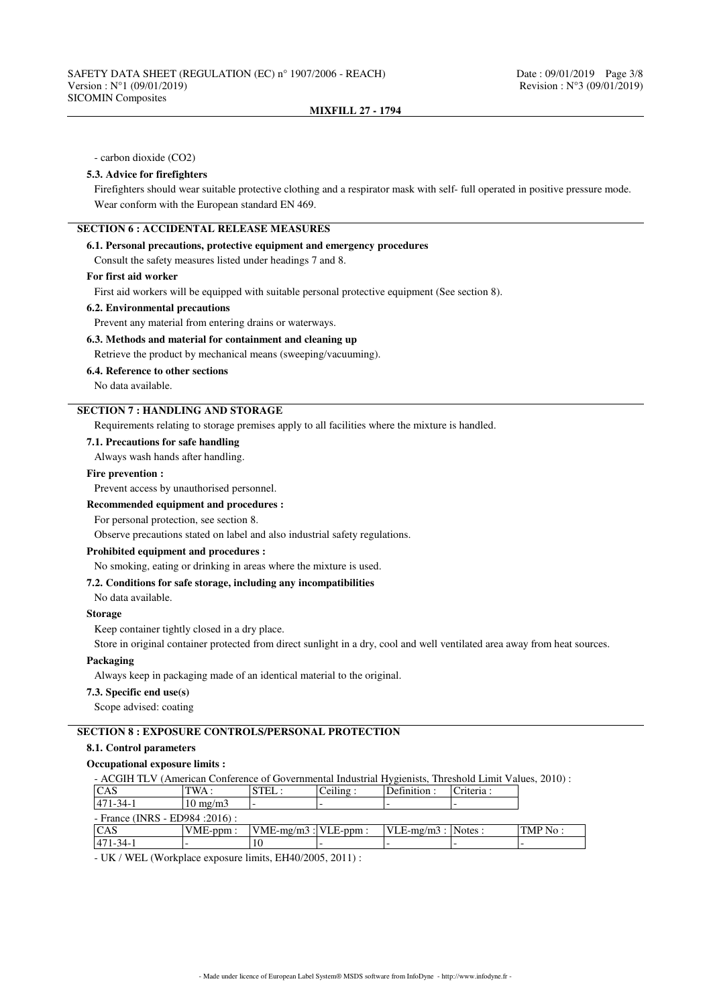- carbon dioxide (CO2)

### **5.3. Advice for firefighters**

Firefighters should wear suitable protective clothing and a respirator mask with self- full operated in positive pressure mode. Wear conform with the European standard EN 469.

# **SECTION 6 : ACCIDENTAL RELEASE MEASURES**

### **6.1. Personal precautions, protective equipment and emergency procedures**

Consult the safety measures listed under headings 7 and 8.

### **For first aid worker**

First aid workers will be equipped with suitable personal protective equipment (See section 8).

# **6.2. Environmental precautions**

Prevent any material from entering drains or waterways.

# **6.3. Methods and material for containment and cleaning up**

Retrieve the product by mechanical means (sweeping/vacuuming).

# **6.4. Reference to other sections**

No data available.

# **SECTION 7 : HANDLING AND STORAGE**

Requirements relating to storage premises apply to all facilities where the mixture is handled.

# **7.1. Precautions for safe handling**

Always wash hands after handling.

### **Fire prevention :**

Prevent access by unauthorised personnel.

### **Recommended equipment and procedures :**

For personal protection, see section 8.

Observe precautions stated on label and also industrial safety regulations.

### **Prohibited equipment and procedures :**

No smoking, eating or drinking in areas where the mixture is used.

# **7.2. Conditions for safe storage, including any incompatibilities**

No data available.

#### **Storage**

Keep container tightly closed in a dry place.

Store in original container protected from direct sunlight in a dry, cool and well ventilated area away from heat sources.

## **Packaging**

Always keep in packaging made of an identical material to the original.

# **7.3. Specific end use(s)**

Scope advised: coating

# **SECTION 8 : EXPOSURE CONTROLS/PERSONAL PROTECTION**

# **8.1. Control parameters**

# **Occupational exposure limits :**

| - ACGIH TLV (American Conference of Governmental Industrial Hygienists, Threshold Limit Values, 2010): |                   |                           |          |                       |           |          |
|--------------------------------------------------------------------------------------------------------|-------------------|---------------------------|----------|-----------------------|-----------|----------|
| <b>CAS</b>                                                                                             | TWA :             | STEL:                     | Ceiling: | Definition :          | Criteria: |          |
| $471 - 34 - 1$                                                                                         | $10 \text{ mg/m}$ |                           |          |                       |           |          |
| - France (INRS - ED984 : 2016) :                                                                       |                   |                           |          |                       |           |          |
| <sub>CAS</sub>                                                                                         | $VME-ppm:$        | $VME-mg/m3$ : $VLE-ppm$ : |          | $VLE-mg/m3$ : Notes : |           | TMP No : |
| 471-34-1                                                                                               |                   |                           |          |                       |           |          |

- UK / WEL (Workplace exposure limits, EH40/2005, 2011) :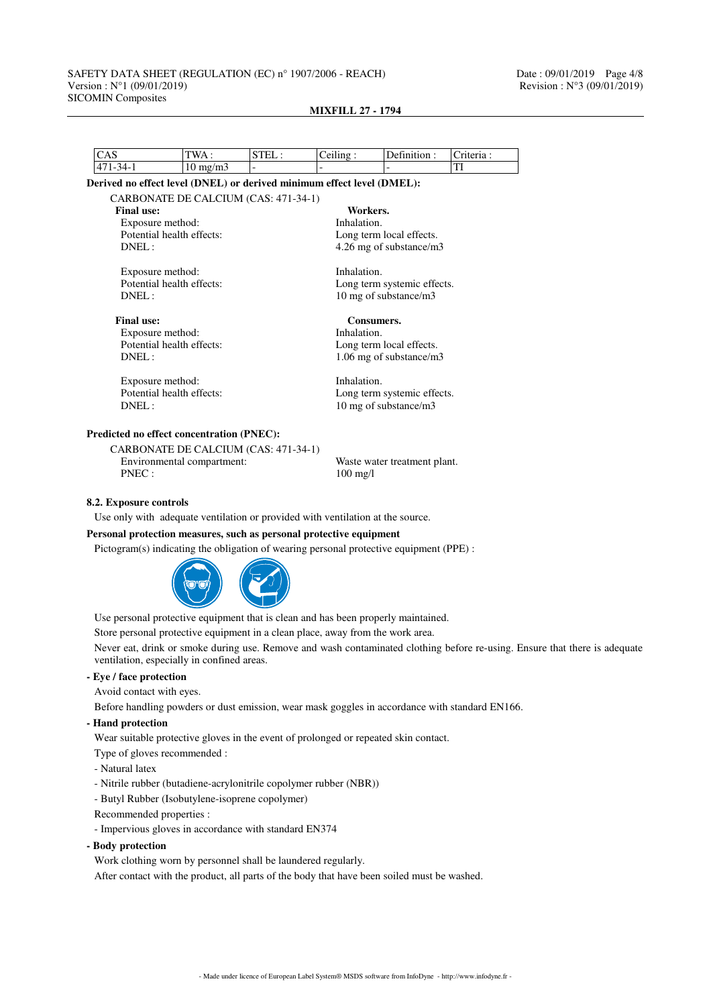### SAFETY DATA SHEET (REGULATION (EC) n° 1907/2006 - REACH) Date : 09/01/2019 Page 4/8<br>Version : N°1 (09/01/2019) Revision : N°3 (09/01/2019) Version :  $N°1 (09/01/2019)$ SICOMIN Composites

| $10 \text{ mg/m}$<br>Exposure method:<br>Potential health effects: | CARBONATE DE CALCIUM (CAS: 471-34-1)                                                                                                            | Derived no effect level (DNEL) or derived minimum effect level (DMEL):<br>Workers. |                          | TI                                                                                                                                                                                                                             |
|--------------------------------------------------------------------|-------------------------------------------------------------------------------------------------------------------------------------------------|------------------------------------------------------------------------------------|--------------------------|--------------------------------------------------------------------------------------------------------------------------------------------------------------------------------------------------------------------------------|
|                                                                    |                                                                                                                                                 |                                                                                    |                          |                                                                                                                                                                                                                                |
|                                                                    |                                                                                                                                                 |                                                                                    |                          |                                                                                                                                                                                                                                |
|                                                                    |                                                                                                                                                 |                                                                                    |                          |                                                                                                                                                                                                                                |
|                                                                    |                                                                                                                                                 |                                                                                    |                          |                                                                                                                                                                                                                                |
|                                                                    |                                                                                                                                                 | Inhalation.                                                                        |                          |                                                                                                                                                                                                                                |
|                                                                    |                                                                                                                                                 |                                                                                    | Long term local effects. |                                                                                                                                                                                                                                |
|                                                                    |                                                                                                                                                 |                                                                                    | 4.26 mg of substance/m3  |                                                                                                                                                                                                                                |
|                                                                    |                                                                                                                                                 |                                                                                    |                          |                                                                                                                                                                                                                                |
|                                                                    |                                                                                                                                                 |                                                                                    |                          |                                                                                                                                                                                                                                |
|                                                                    |                                                                                                                                                 |                                                                                    |                          |                                                                                                                                                                                                                                |
|                                                                    |                                                                                                                                                 |                                                                                    |                          |                                                                                                                                                                                                                                |
|                                                                    |                                                                                                                                                 |                                                                                    |                          |                                                                                                                                                                                                                                |
|                                                                    |                                                                                                                                                 |                                                                                    |                          |                                                                                                                                                                                                                                |
|                                                                    |                                                                                                                                                 |                                                                                    |                          |                                                                                                                                                                                                                                |
|                                                                    |                                                                                                                                                 |                                                                                    |                          |                                                                                                                                                                                                                                |
|                                                                    |                                                                                                                                                 |                                                                                    |                          |                                                                                                                                                                                                                                |
|                                                                    |                                                                                                                                                 |                                                                                    |                          |                                                                                                                                                                                                                                |
|                                                                    | Exposure method:<br>Potential health effects:<br>Exposure method:<br>Potential health effects:<br>Exposure method:<br>Potential health effects: | <b>Predicted no effect concentration (PNEC):</b>                                   |                          | Inhalation.<br>Long term systemic effects.<br>10 mg of substance/m3<br>Consumers.<br>Inhalation.<br>Long term local effects.<br>1.06 mg of substance/m3<br>Inhalation.<br>Long term systemic effects.<br>10 mg of substance/m3 |

## **MIXFILL 27 - 1794**

CARBONATE DE CALCIUM (CAS: 471-34-1) Environmental compartment: Waste water treatment plant. PNEC : 100 mg/l

### **8.2. Exposure controls**

Use only with adequate ventilation or provided with ventilation at the source.

### **Personal protection measures, such as personal protective equipment**

Pictogram(s) indicating the obligation of wearing personal protective equipment (PPE) :



Use personal protective equipment that is clean and has been properly maintained.

Store personal protective equipment in a clean place, away from the work area.

Never eat, drink or smoke during use. Remove and wash contaminated clothing before re-using. Ensure that there is adequate ventilation, especially in confined areas.

### **- Eye / face protection**

Avoid contact with eyes.

Before handling powders or dust emission, wear mask goggles in accordance with standard EN166.

### **- Hand protection**

Wear suitable protective gloves in the event of prolonged or repeated skin contact.

- Type of gloves recommended :
- Natural latex
- Nitrile rubber (butadiene-acrylonitrile copolymer rubber (NBR))
- Butyl Rubber (Isobutylene-isoprene copolymer)
- Recommended properties :
- Impervious gloves in accordance with standard EN374
- **Body protection**

Work clothing worn by personnel shall be laundered regularly.

After contact with the product, all parts of the body that have been soiled must be washed.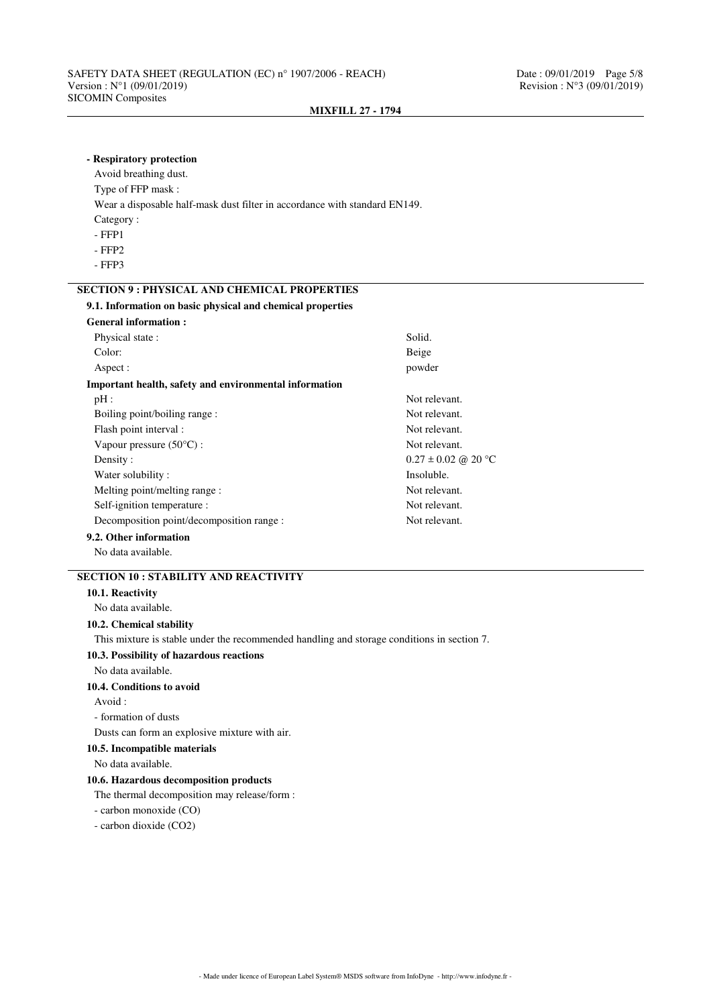**- Respiratory protection**

**MIXFILL 27 - 1794**

# Avoid breathing dust. Type of FFP mask : Wear a disposable half-mask dust filter in accordance with standard EN149. Category : - FFP1 - FFP2 - FFP3 **SECTION 9 : PHYSICAL AND CHEMICAL PROPERTIES 9.1. Information on basic physical and chemical properties General information :** Physical state : Solid. Color: Beige Aspect :  $\qquad \qquad \text{power}$ **Important health, safety and environmental information** pH : Not relevant. Boiling point/boiling range : Not relevant. Flash point interval : Not relevant. Vapour pressure  $(50^{\circ}C)$ : Not relevant. Density :  $0.27 \pm 0.02$  @ 20 °C Water solubility : Insoluble. Melting point/melting range : Not relevant. Self-ignition temperature : Not relevant. Decomposition point/decomposition range : Not relevant. **9.2. Other information** No data available. **SECTION 10 : STABILITY AND REACTIVITY 10.1. Reactivity** No data available. **10.2. Chemical stability** This mixture is stable under the recommended handling and storage conditions in section 7. **10.3. Possibility of hazardous reactions** No data available. **10.4. Conditions to avoid** Avoid : - formation of dusts Dusts can form an explosive mixture with air. **10.5. Incompatible materials** No data available. **10.6. Hazardous decomposition products** The thermal decomposition may release/form : - carbon monoxide (CO) - carbon dioxide (CO2)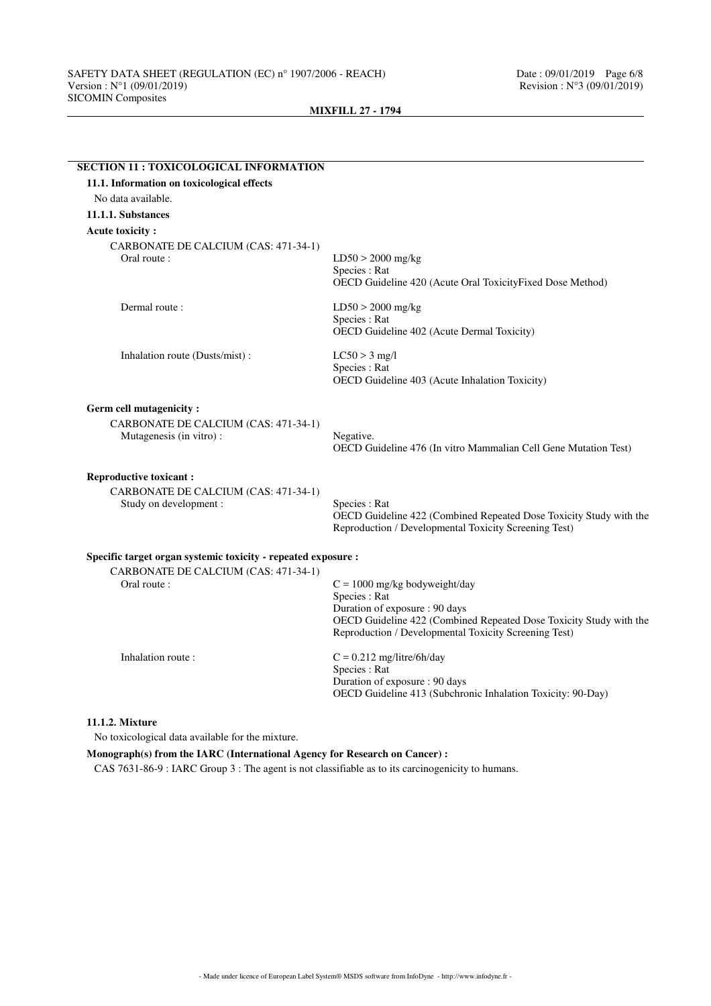| 11.1. Information on toxicological effects                                                 |                                                                                                                                                                                                                   |
|--------------------------------------------------------------------------------------------|-------------------------------------------------------------------------------------------------------------------------------------------------------------------------------------------------------------------|
| No data available.                                                                         |                                                                                                                                                                                                                   |
| 11.1.1. Substances                                                                         |                                                                                                                                                                                                                   |
| <b>Acute toxicity:</b>                                                                     |                                                                                                                                                                                                                   |
| CARBONATE DE CALCIUM (CAS: 471-34-1)<br>Oral route:                                        | $LD50 > 2000$ mg/kg<br>Species : Rat<br>OECD Guideline 420 (Acute Oral ToxicityFixed Dose Method)                                                                                                                 |
| Dermal route:                                                                              | $LD50 > 2000$ mg/kg<br>Species : Rat<br>OECD Guideline 402 (Acute Dermal Toxicity)                                                                                                                                |
| Inhalation route (Dusts/mist):                                                             | $LC50 > 3$ mg/l<br>Species: Rat<br>OECD Guideline 403 (Acute Inhalation Toxicity)                                                                                                                                 |
| Germ cell mutagenicity:<br>CARBONATE DE CALCIUM (CAS: 471-34-1)<br>Mutagenesis (in vitro): | Negative.<br>OECD Guideline 476 (In vitro Mammalian Cell Gene Mutation Test)                                                                                                                                      |
| <b>Reproductive toxicant:</b>                                                              |                                                                                                                                                                                                                   |
| CARBONATE DE CALCIUM (CAS: 471-34-1)<br>Study on development:                              | Species : Rat<br>OECD Guideline 422 (Combined Repeated Dose Toxicity Study with the<br>Reproduction / Developmental Toxicity Screening Test)                                                                      |
| Specific target organ systemic toxicity - repeated exposure :                              |                                                                                                                                                                                                                   |
| CARBONATE DE CALCIUM (CAS: 471-34-1)<br>Oral route:                                        | $C = 1000$ mg/kg bodyweight/day<br>Species : Rat<br>Duration of exposure : 90 days<br>OECD Guideline 422 (Combined Repeated Dose Toxicity Study with the<br>Reproduction / Developmental Toxicity Screening Test) |
| Inhalation route:                                                                          | $C = 0.212$ mg/litre/6h/day<br>Species : Rat<br>Duration of exposure : 90 days<br>OECD Guideline 413 (Subchronic Inhalation Toxicity: 90-Day)                                                                     |

# **11.1.2. Mixture**

No toxicological data available for the mixture.

# **Monograph(s) from the IARC (International Agency for Research on Cancer) :**

CAS 7631-86-9 : IARC Group 3 : The agent is not classifiable as to its carcinogenicity to humans.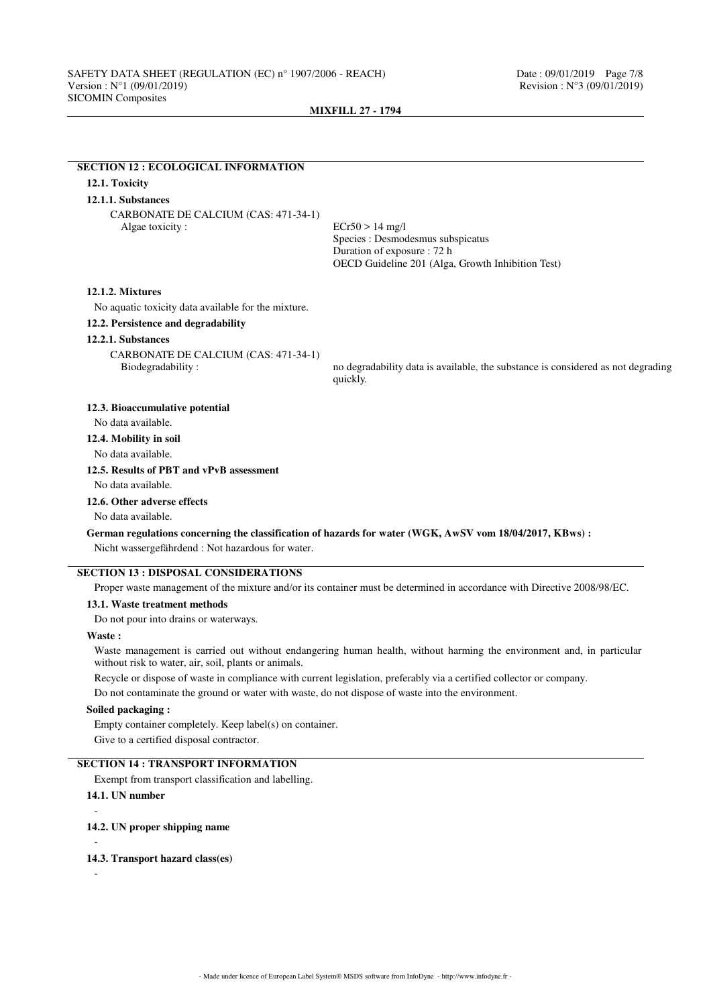# **SECTION 12 : ECOLOGICAL INFORMATION 12.1. Toxicity 12.1.1. Substances** CARBONATE DE CALCIUM (CAS: 471-34-1) Algae toxicity : ECr50 > 14 mg/l Species : Desmodesmus subspicatus Duration of exposure : 72 h OECD Guideline 201 (Alga, Growth Inhibition Test) **12.1.2. Mixtures** No aquatic toxicity data available for the mixture. **12.2. Persistence and degradability 12.2.1. Substances** CARBONATE DE CALCIUM (CAS: 471-34-1) Biodegradability : no degradability data is available, the substance is considered as not degrading quickly. **12.3. Bioaccumulative potential** No data available. **12.4. Mobility in soil** No data available. **12.5. Results of PBT and vPvB assessment** No data available. **12.6. Other adverse effects** No data available. **German regulations concerning the classification of hazards for water (WGK, AwSV vom 18/04/2017, KBws) :** Nicht wassergefährdend : Not hazardous for water. **SECTION 13 : DISPOSAL CONSIDERATIONS** Proper waste management of the mixture and/or its container must be determined in accordance with Directive 2008/98/EC. **13.1. Waste treatment methods** Do not pour into drains or waterways. **Waste :** Waste management is carried out without endangering human health, without harming the environment and, in particular without risk to water, air, soil, plants or animals.

Recycle or dispose of waste in compliance with current legislation, preferably via a certified collector or company.

Do not contaminate the ground or water with waste, do not dispose of waste into the environment.

## **Soiled packaging :**

Empty container completely. Keep label(s) on container. Give to a certified disposal contractor.

# **SECTION 14 : TRANSPORT INFORMATION**

Exempt from transport classification and labelling.

```
14.1. UN number
```
-

**14.2. UN proper shipping name** -

```
14.3. Transport hazard class(es)
```
-